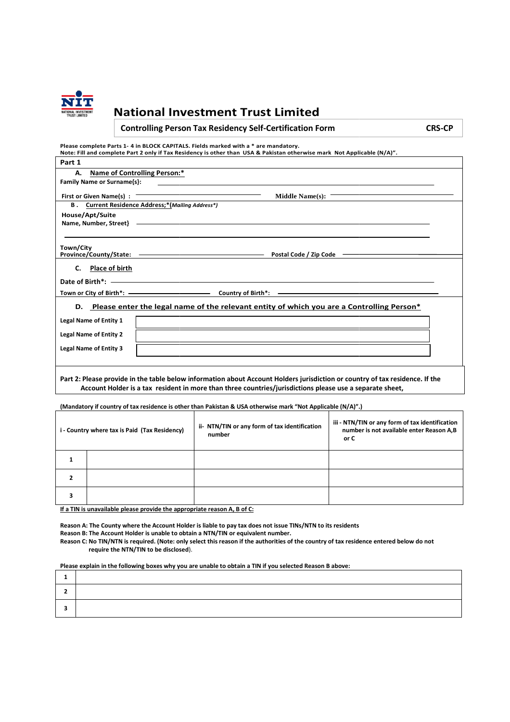

# **National Investment Trust Limited**

# **Controlling Person Tax Residency Self-Certification Form CRS-CP**

**Please complete Parts 1- 4 in BLOCK CAPITALS. Fields marked with a \* are mandatory.**

**Note: Fill and complete Part 2 only if Tax Residency is other than USA & Pakistan otherwise mark Not Applicable (N/A)". SA** 

| Part 1                                                                                                                                                                                                                                   |  |  |  |
|------------------------------------------------------------------------------------------------------------------------------------------------------------------------------------------------------------------------------------------|--|--|--|
| Name of Controlling Person:*<br>А.                                                                                                                                                                                                       |  |  |  |
| Family Name or Surname{s}:                                                                                                                                                                                                               |  |  |  |
| Middle Name(s): $\overline{\phantom{a}}$                                                                                                                                                                                                 |  |  |  |
| First or Given Name(s) :<br>B. Current Residence Address;*(Mailing Address*)                                                                                                                                                             |  |  |  |
|                                                                                                                                                                                                                                          |  |  |  |
| House/Apt/Suite<br>Name, Number, Street}                                                                                                                                                                                                 |  |  |  |
|                                                                                                                                                                                                                                          |  |  |  |
|                                                                                                                                                                                                                                          |  |  |  |
| Town/City                                                                                                                                                                                                                                |  |  |  |
| Province/County/State: — Postal Code / Zip Code –                                                                                                                                                                                        |  |  |  |
| C. Place of birth                                                                                                                                                                                                                        |  |  |  |
|                                                                                                                                                                                                                                          |  |  |  |
|                                                                                                                                                                                                                                          |  |  |  |
| D. Please enter the legal name of the relevant entity of which you are a Controlling Person*                                                                                                                                             |  |  |  |
| Legal Name of Entity 1                                                                                                                                                                                                                   |  |  |  |
| <b>Legal Name of Entity 2</b>                                                                                                                                                                                                            |  |  |  |
| Legal Name of Entity 3                                                                                                                                                                                                                   |  |  |  |
|                                                                                                                                                                                                                                          |  |  |  |
| Part 2: Please provide in the table below information about Account Holders jurisdiction or country of tax residence. If the<br>Account Holder is a tax resident in more than three countries/jurisdictions please use a separate sheet, |  |  |  |

#### **(Mandatory if country of tax residence is other than Pakistan & USA otherwise mark "Not Applicable (N/A)".) dence other Pakistan**

| i - Country where tax is Paid (Tax Residency)                                                                                                                                                                                                                                                                                               |  | ii- NTN/TIN or any form of tax identification<br>number | iii - NTN/TIN or any form of tax identification<br>number is not available enter Reason A,B<br>or C |  |  |  |
|---------------------------------------------------------------------------------------------------------------------------------------------------------------------------------------------------------------------------------------------------------------------------------------------------------------------------------------------|--|---------------------------------------------------------|-----------------------------------------------------------------------------------------------------|--|--|--|
|                                                                                                                                                                                                                                                                                                                                             |  |                                                         |                                                                                                     |  |  |  |
|                                                                                                                                                                                                                                                                                                                                             |  |                                                         |                                                                                                     |  |  |  |
|                                                                                                                                                                                                                                                                                                                                             |  |                                                         |                                                                                                     |  |  |  |
| If a TIN is unavailable please provide the appropriate reason A, B of C:                                                                                                                                                                                                                                                                    |  |                                                         |                                                                                                     |  |  |  |
| Reason A: The County where the Account Holder is liable to pay tax does not issue TINs/NTN to its residents<br>Reason B: The Account Holder is unable to obtain a NTN/TIN or equivalent number.<br>Reason C: No TIN/NTN is required. (Note: only select this reason if the authorities of the country of tax residence entered below do not |  |                                                         |                                                                                                     |  |  |  |

Reason C: No TIN/NTN is required. (Note: only select this reason if the authorities of the country of tax residence entered below do not<br>require the NTN/TIN to be disclosed). **require the NTN/TIN to be disclosed**

**Please explain in the following boxes why you are unable to obtain a TIN if you selected Reason B above:**